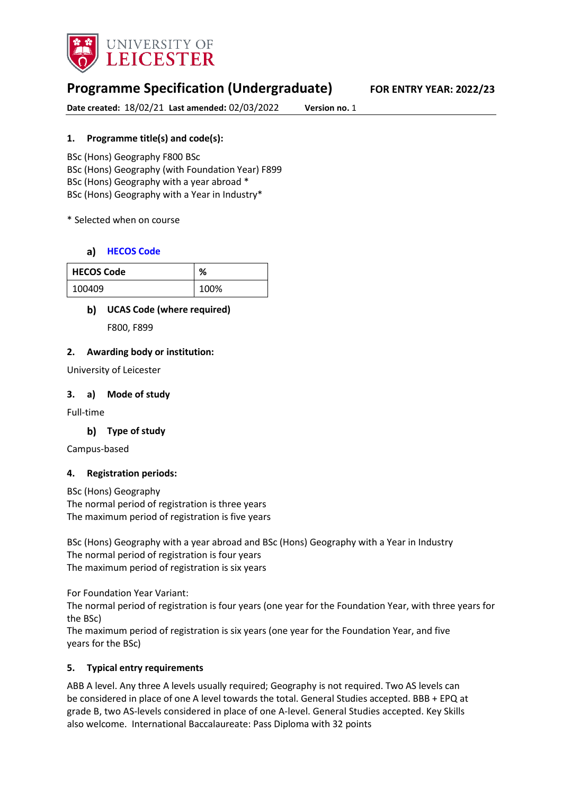

# **Programme Specification (Undergraduate) FOR ENTRY YEAR: 2022/23**

**Date created:** 18/02/21 **Last amended:** 02/03/2022 **Version no.** 1

### **1. Programme title(s) and code(s):**

BSc (Hons) Geography F800 BSc BSc (Hons) Geography (with Foundation Year) F899 BSc (Hons) Geography with a year abroad \* BSc (Hons) Geography with a Year in Industry\*

### \* Selected when on course

# **[HECOS Code](https://www.hesa.ac.uk/innovation/hecos)**

| <b>HECOS Code</b> | %    |
|-------------------|------|
| 100409            | 100% |

# **UCAS Code (where required)**

F800, F899

### **2. Awarding body or institution:**

University of Leicester

### **3. a) Mode of study**

Full-time

### **Type of study**

Campus-based

### **4. Registration periods:**

BSc (Hons) Geography The normal period of registration is three years The maximum period of registration is five years

BSc (Hons) Geography with a year abroad and BSc (Hons) Geography with a Year in Industry The normal period of registration is four years The maximum period of registration is six years

For Foundation Year Variant:

The normal period of registration is four years (one year for the Foundation Year, with three years for the BSc)

The maximum period of registration is six years (one year for the Foundation Year, and five years for the BSc)

### **5. Typical entry requirements**

ABB A level. Any three A levels usually required; Geography is not required. Two AS levels can be considered in place of one A level towards the total. General Studies accepted. BBB + EPQ at grade B, two AS-levels considered in place of one A-level. General Studies accepted. Key Skills also welcome. International Baccalaureate: Pass Diploma with 32 points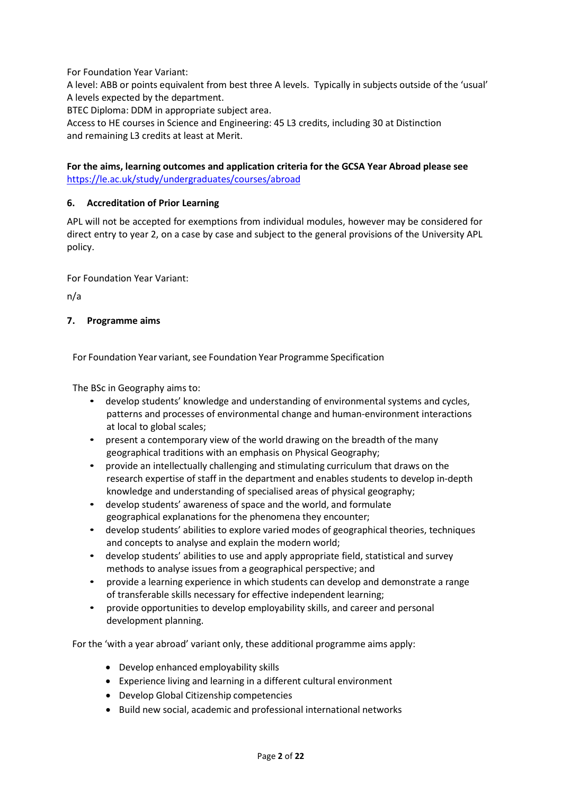For Foundation Year Variant:

A level: ABB or points equivalent from best three A levels. Typically in subjects outside of the 'usual' A levels expected by the department.

BTEC Diploma: DDM in appropriate subject area.

Access to HE courses in Science and Engineering: 45 L3 credits, including 30 at Distinction and remaining L3 credits at least at Merit.

### **For the aims, learning outcomes and application criteria for the GCSA Year Abroad please see**  <https://le.ac.uk/study/undergraduates/courses/abroad>

### **6. Accreditation of Prior Learning**

APL will not be accepted for exemptions from individual modules, however may be considered for direct entry to year 2, on a case by case and subject to the general provisions of the University APL policy.

For Foundation Year Variant:

n/a

#### **7. Programme aims**

For Foundation Year variant, see Foundation Year Programme Specification

The BSc in Geography aims to:

- develop students' knowledge and understanding of environmental systems and cycles, patterns and processes of environmental change and human-environment interactions at local to global scales;
- present a contemporary view of the world drawing on the breadth of the many geographical traditions with an emphasis on Physical Geography;
- provide an intellectually challenging and stimulating curriculum that draws on the research expertise of staff in the department and enables students to develop in-depth knowledge and understanding of specialised areas of physical geography;
- develop students' awareness of space and the world, and formulate geographical explanations for the phenomena they encounter;
- develop students' abilities to explore varied modes of geographical theories, techniques and concepts to analyse and explain the modern world;
- develop students' abilities to use and apply appropriate field, statistical and survey methods to analyse issues from a geographical perspective; and
- provide a learning experience in which students can develop and demonstrate a range of transferable skills necessary for effective independent learning;
- provide opportunities to develop employability skills, and career and personal development planning.

For the 'with a year abroad' variant only, these additional programme aims apply:

- Develop enhanced employability skills
- Experience living and learning in a different cultural environment
- Develop Global Citizenship competencies
- Build new social, academic and professional international networks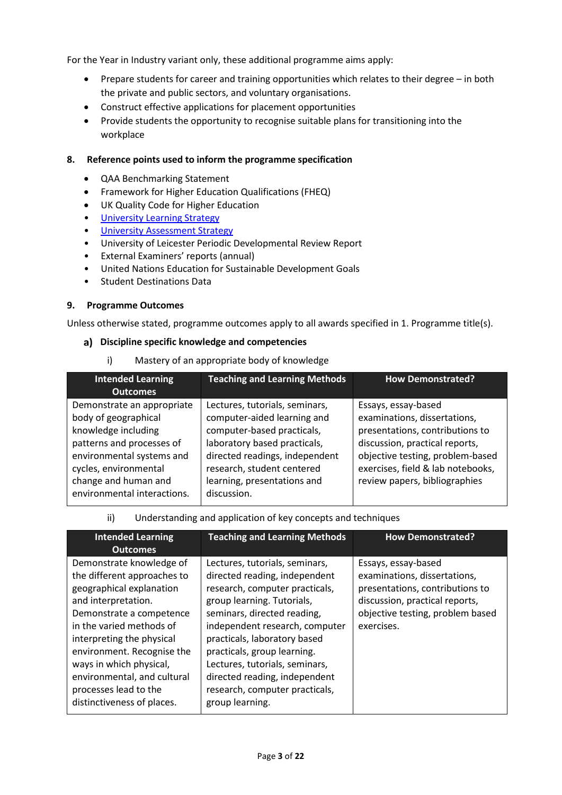For the Year in Industry variant only, these additional programme aims apply:

- Prepare students for career and training opportunities which relates to their degree in both the private and public sectors, and voluntary organisations.
- Construct effective applications for placement opportunities
- Provide students the opportunity to recognise suitable plans for transitioning into the workplace

#### **8. Reference points used to inform the programme specification**

- QAA Benchmarking Statement
- Framework for Higher Education Qualifications (FHEQ)
- UK Quality Code for Higher Education
- University Learnin[g Strategy](https://www2.le.ac.uk/offices/sas2/quality/learnteach)
- [University Assessment Strategy](https://www2.le.ac.uk/offices/sas2/quality/learnteach)
- University of Leicester Periodic Developmental Review Report
- External Examiners' reports (annual)
- United Nations Education for Sustainable Development Goals
- Student Destinations Data

#### **9. Programme Outcomes**

Unless otherwise stated, programme outcomes apply to all awards specified in 1. Programme title(s).

#### **Discipline specific knowledge and competencies**

i) Mastery of an appropriate body of knowledge

| <b>Intended Learning</b>                                                                                                                                     | <b>Teaching and Learning Methods</b>                                                                                                                                                        | <b>How Demonstrated?</b>                                                                                                                                                                          |
|--------------------------------------------------------------------------------------------------------------------------------------------------------------|---------------------------------------------------------------------------------------------------------------------------------------------------------------------------------------------|---------------------------------------------------------------------------------------------------------------------------------------------------------------------------------------------------|
| <b>Outcomes</b>                                                                                                                                              |                                                                                                                                                                                             |                                                                                                                                                                                                   |
| Demonstrate an appropriate<br>body of geographical<br>knowledge including<br>patterns and processes of<br>environmental systems and<br>cycles, environmental | Lectures, tutorials, seminars,<br>computer-aided learning and<br>computer-based practicals,<br>laboratory based practicals,<br>directed readings, independent<br>research, student centered | Essays, essay-based<br>examinations, dissertations,<br>presentations, contributions to<br>discussion, practical reports,<br>objective testing, problem-based<br>exercises, field & lab notebooks, |
| change and human and<br>environmental interactions.                                                                                                          | learning, presentations and<br>discussion.                                                                                                                                                  | review papers, bibliographies                                                                                                                                                                     |

| ii) | Understanding and application of key concepts and techniques |  |
|-----|--------------------------------------------------------------|--|
|     |                                                              |  |

| <b>Intended Learning</b><br><b>Outcomes</b>                                                                                                                                                                                                                                                                                                    | <b>Teaching and Learning Methods</b>                                                                                                                                                                                                                                                                                                                                                    | <b>How Demonstrated?</b>                                                                                                                                                   |
|------------------------------------------------------------------------------------------------------------------------------------------------------------------------------------------------------------------------------------------------------------------------------------------------------------------------------------------------|-----------------------------------------------------------------------------------------------------------------------------------------------------------------------------------------------------------------------------------------------------------------------------------------------------------------------------------------------------------------------------------------|----------------------------------------------------------------------------------------------------------------------------------------------------------------------------|
| Demonstrate knowledge of<br>the different approaches to<br>geographical explanation<br>and interpretation.<br>Demonstrate a competence<br>in the varied methods of<br>interpreting the physical<br>environment. Recognise the<br>ways in which physical,<br>environmental, and cultural<br>processes lead to the<br>distinctiveness of places. | Lectures, tutorials, seminars,<br>directed reading, independent<br>research, computer practicals,<br>group learning. Tutorials,<br>seminars, directed reading,<br>independent research, computer<br>practicals, laboratory based<br>practicals, group learning.<br>Lectures, tutorials, seminars,<br>directed reading, independent<br>research, computer practicals,<br>group learning. | Essays, essay-based<br>examinations, dissertations,<br>presentations, contributions to<br>discussion, practical reports,<br>objective testing, problem based<br>exercises. |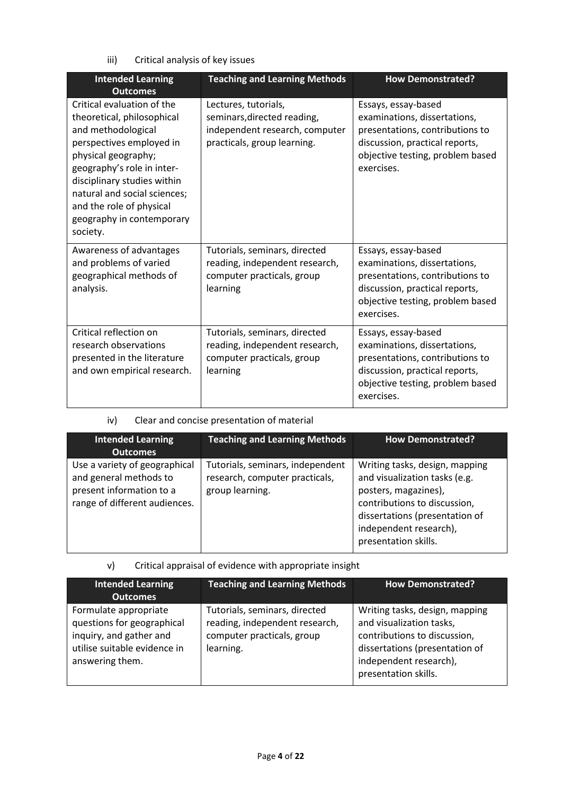iii) Critical analysis of key issues

| <b>Intended Learning</b><br><b>Outcomes</b>                                                                                                                                                                                                                                                         | <b>Teaching and Learning Methods</b>                                                                                 | <b>How Demonstrated?</b>                                                                                                                                                   |
|-----------------------------------------------------------------------------------------------------------------------------------------------------------------------------------------------------------------------------------------------------------------------------------------------------|----------------------------------------------------------------------------------------------------------------------|----------------------------------------------------------------------------------------------------------------------------------------------------------------------------|
| Critical evaluation of the<br>theoretical, philosophical<br>and methodological<br>perspectives employed in<br>physical geography;<br>geography's role in inter-<br>disciplinary studies within<br>natural and social sciences;<br>and the role of physical<br>geography in contemporary<br>society. | Lectures, tutorials,<br>seminars, directed reading,<br>independent research, computer<br>practicals, group learning. | Essays, essay-based<br>examinations, dissertations,<br>presentations, contributions to<br>discussion, practical reports,<br>objective testing, problem based<br>exercises. |
| Awareness of advantages<br>and problems of varied<br>geographical methods of<br>analysis.                                                                                                                                                                                                           | Tutorials, seminars, directed<br>reading, independent research,<br>computer practicals, group<br>learning            | Essays, essay-based<br>examinations, dissertations,<br>presentations, contributions to<br>discussion, practical reports,<br>objective testing, problem based<br>exercises. |
| Critical reflection on<br>research observations<br>presented in the literature<br>and own empirical research.                                                                                                                                                                                       | Tutorials, seminars, directed<br>reading, independent research,<br>computer practicals, group<br>learning            | Essays, essay-based<br>examinations, dissertations,<br>presentations, contributions to<br>discussion, practical reports,<br>objective testing, problem based<br>exercises. |

# iv) Clear and concise presentation of material

| <b>Intended Learning</b><br><b>Outcomes</b>                                                                          | <b>Teaching and Learning Methods</b>                                                  | <b>How Demonstrated?</b>                                                                                                                                                                                    |
|----------------------------------------------------------------------------------------------------------------------|---------------------------------------------------------------------------------------|-------------------------------------------------------------------------------------------------------------------------------------------------------------------------------------------------------------|
| Use a variety of geographical<br>and general methods to<br>present information to a<br>range of different audiences. | Tutorials, seminars, independent<br>research, computer practicals,<br>group learning. | Writing tasks, design, mapping<br>and visualization tasks (e.g.<br>posters, magazines),<br>contributions to discussion,<br>dissertations (presentation of<br>independent research),<br>presentation skills. |

# v) Critical appraisal of evidence with appropriate insight

| <b>Intended Learning</b><br><b>Outcomes</b>                                                                                       | <b>Teaching and Learning Methods</b>                                                                       | How Demonstrated?                                                                                                                                                              |
|-----------------------------------------------------------------------------------------------------------------------------------|------------------------------------------------------------------------------------------------------------|--------------------------------------------------------------------------------------------------------------------------------------------------------------------------------|
| Formulate appropriate<br>questions for geographical<br>inquiry, and gather and<br>utilise suitable evidence in<br>answering them. | Tutorials, seminars, directed<br>reading, independent research,<br>computer practicals, group<br>learning. | Writing tasks, design, mapping<br>and visualization tasks,<br>contributions to discussion,<br>dissertations (presentation of<br>independent research),<br>presentation skills. |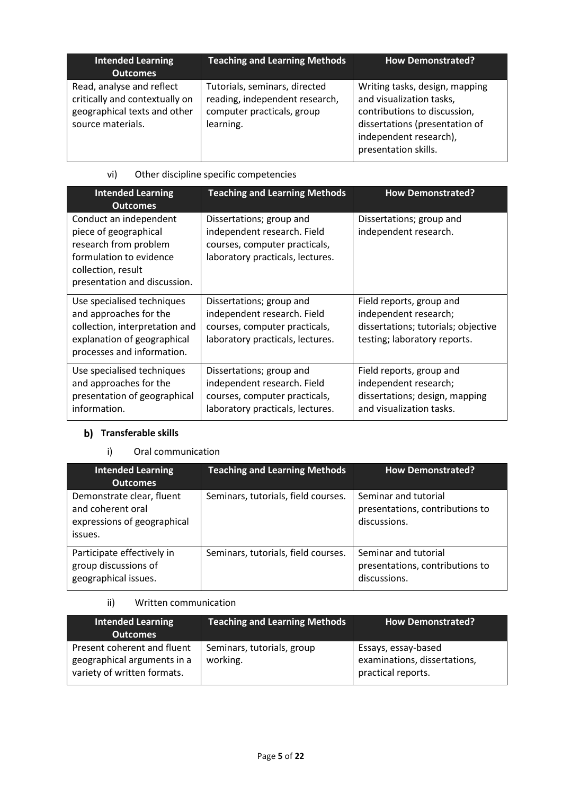| <b>Intended Learning</b><br><b>Outcomes</b>                                                                      | <b>Teaching and Learning Methods</b>                                                                       | <b>How Demonstrated?</b>                                                                                                                                                       |
|------------------------------------------------------------------------------------------------------------------|------------------------------------------------------------------------------------------------------------|--------------------------------------------------------------------------------------------------------------------------------------------------------------------------------|
| Read, analyse and reflect<br>critically and contextually on<br>geographical texts and other<br>source materials. | Tutorials, seminars, directed<br>reading, independent research,<br>computer practicals, group<br>learning. | Writing tasks, design, mapping<br>and visualization tasks,<br>contributions to discussion,<br>dissertations (presentation of<br>independent research),<br>presentation skills. |

# vi) Other discipline specific competencies

| <b>Intended Learning</b><br><b>Outcomes</b>                                                                                                               | <b>Teaching and Learning Methods</b>                                                                                         | <b>How Demonstrated?</b>                                                                                                 |
|-----------------------------------------------------------------------------------------------------------------------------------------------------------|------------------------------------------------------------------------------------------------------------------------------|--------------------------------------------------------------------------------------------------------------------------|
| Conduct an independent<br>piece of geographical<br>research from problem<br>formulation to evidence<br>collection, result<br>presentation and discussion. | Dissertations; group and<br>independent research. Field<br>courses, computer practicals,<br>laboratory practicals, lectures. | Dissertations; group and<br>independent research.                                                                        |
| Use specialised techniques<br>and approaches for the<br>collection, interpretation and<br>explanation of geographical<br>processes and information.       | Dissertations; group and<br>independent research. Field<br>courses, computer practicals,<br>laboratory practicals, lectures. | Field reports, group and<br>independent research;<br>dissertations; tutorials; objective<br>testing; laboratory reports. |
| Use specialised techniques<br>and approaches for the<br>presentation of geographical<br>information.                                                      | Dissertations; group and<br>independent research. Field<br>courses, computer practicals,<br>laboratory practicals, lectures. | Field reports, group and<br>independent research;<br>dissertations; design, mapping<br>and visualization tasks.          |

# **b)** Transferable skills

# i) Oral communication

| <b>Intended Learning</b><br><b>Outcomes</b>                                              | <b>Teaching and Learning Methods</b> | <b>How Demonstrated?</b>                                                |
|------------------------------------------------------------------------------------------|--------------------------------------|-------------------------------------------------------------------------|
| Demonstrate clear, fluent<br>and coherent oral<br>expressions of geographical<br>issues. | Seminars, tutorials, field courses.  | Seminar and tutorial<br>presentations, contributions to<br>discussions. |
| Participate effectively in<br>group discussions of<br>geographical issues.               | Seminars, tutorials, field courses.  | Seminar and tutorial<br>presentations, contributions to<br>discussions. |

# ii) Written communication

| Intended Learning<br><b>Outcomes</b>                                                      | <b>Teaching and Learning Methods</b>   | <b>How Demonstrated?</b>                                                  |
|-------------------------------------------------------------------------------------------|----------------------------------------|---------------------------------------------------------------------------|
| Present coherent and fluent<br>geographical arguments in a<br>variety of written formats. | Seminars, tutorials, group<br>working. | Essays, essay-based<br>examinations, dissertations,<br>practical reports. |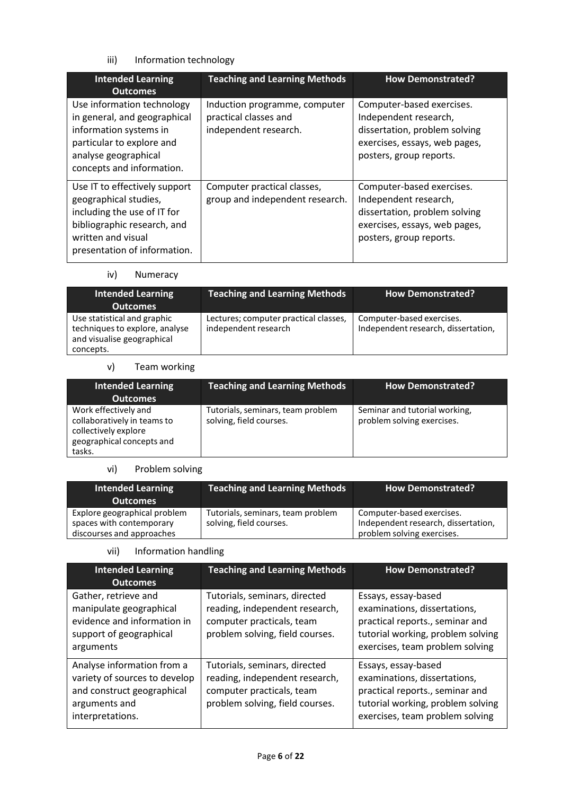# iii) Information technology

| <b>Intended Learning</b><br><b>Outcomes</b>                                                                                                                                | <b>Teaching and Learning Methods</b>                                            | <b>How Demonstrated?</b>                                                                                                                        |
|----------------------------------------------------------------------------------------------------------------------------------------------------------------------------|---------------------------------------------------------------------------------|-------------------------------------------------------------------------------------------------------------------------------------------------|
| Use information technology<br>in general, and geographical<br>information systems in<br>particular to explore and<br>analyse geographical<br>concepts and information.     | Induction programme, computer<br>practical classes and<br>independent research. | Computer-based exercises.<br>Independent research,<br>dissertation, problem solving<br>exercises, essays, web pages,<br>posters, group reports. |
| Use IT to effectively support<br>geographical studies,<br>including the use of IT for<br>bibliographic research, and<br>written and visual<br>presentation of information. | Computer practical classes,<br>group and independent research.                  | Computer-based exercises.<br>Independent research,<br>dissertation, problem solving<br>exercises, essays, web pages,<br>posters, group reports. |

# iv) Numeracy

| Intended Learning<br>Outcomes                                                                            | <b>Teaching and Learning Methods</b>                          |                                                                  |
|----------------------------------------------------------------------------------------------------------|---------------------------------------------------------------|------------------------------------------------------------------|
| Use statistical and graphic<br>techniques to explore, analyse<br>and visualise geographical<br>concepts. | Lectures; computer practical classes,<br>independent research | Computer-based exercises.<br>Independent research, dissertation, |

### v) Team working

| Intended Learning<br><b>Outcomes</b>                                                                               | <b>Teaching and Learning Methods</b>                         | <b>How Demonstrated?</b>                                    |
|--------------------------------------------------------------------------------------------------------------------|--------------------------------------------------------------|-------------------------------------------------------------|
| Work effectively and<br>collaboratively in teams to<br>collectively explore<br>geographical concepts and<br>tasks. | Tutorials, seminars, team problem<br>solving, field courses. | Seminar and tutorial working,<br>problem solving exercises. |

#### vi) Problem solving

| <b>Intended Learning</b><br><b>Outcomes</b>                                           | <b>Teaching and Learning Methods</b>                         | <b>How Demonstrated?</b>                                                                       |
|---------------------------------------------------------------------------------------|--------------------------------------------------------------|------------------------------------------------------------------------------------------------|
| Explore geographical problem<br>spaces with contemporary<br>discourses and approaches | Tutorials, seminars, team problem<br>solving, field courses. | Computer-based exercises.<br>Independent research, dissertation,<br>problem solving exercises. |

### vii) Information handling

| <b>Intended Learning</b><br><b>Outcomes</b>                                                                                                                                                                                                                       | <b>Teaching and Learning Methods</b>                                                                                            | <b>How Demonstrated?</b>                                                                                                                                       |  |
|-------------------------------------------------------------------------------------------------------------------------------------------------------------------------------------------------------------------------------------------------------------------|---------------------------------------------------------------------------------------------------------------------------------|----------------------------------------------------------------------------------------------------------------------------------------------------------------|--|
| Gather, retrieve and<br>manipulate geographical<br>evidence and information in<br>support of geographical<br>arguments                                                                                                                                            | Tutorials, seminars, directed<br>reading, independent research,<br>computer practicals, team<br>problem solving, field courses. | Essays, essay-based<br>examinations, dissertations,<br>practical reports., seminar and<br>tutorial working, problem solving<br>exercises, team problem solving |  |
| Analyse information from a<br>Tutorials, seminars, directed<br>variety of sources to develop<br>reading, independent research,<br>and construct geographical<br>computer practicals, team<br>problem solving, field courses.<br>arguments and<br>interpretations. |                                                                                                                                 | Essays, essay-based<br>examinations, dissertations,<br>practical reports., seminar and<br>tutorial working, problem solving<br>exercises, team problem solving |  |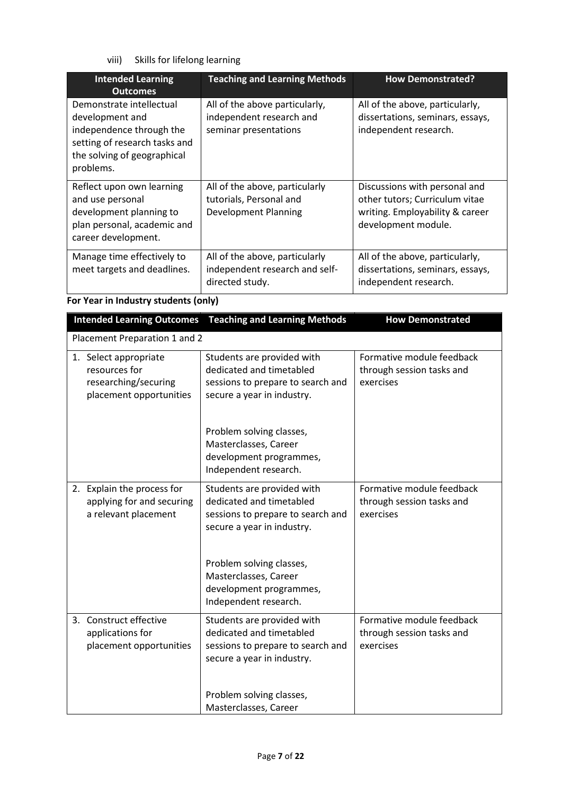viii) Skills for lifelong learning

| <b>Intended Learning</b><br><b>Outcomes</b>                                                                                                          | <b>Teaching and Learning Methods</b>                                                     | <b>How Demonstrated?</b>                                                                                                  |  |
|------------------------------------------------------------------------------------------------------------------------------------------------------|------------------------------------------------------------------------------------------|---------------------------------------------------------------------------------------------------------------------------|--|
| Demonstrate intellectual<br>development and<br>independence through the<br>setting of research tasks and<br>the solving of geographical<br>problems. | All of the above particularly,<br>independent research and<br>seminar presentations      | All of the above, particularly,<br>dissertations, seminars, essays,<br>independent research.                              |  |
| Reflect upon own learning<br>and use personal<br>development planning to<br>plan personal, academic and<br>career development.                       | All of the above, particularly<br>tutorials, Personal and<br><b>Development Planning</b> | Discussions with personal and<br>other tutors; Curriculum vitae<br>writing. Employability & career<br>development module. |  |
| Manage time effectively to<br>meet targets and deadlines.                                                                                            | All of the above, particularly<br>independent research and self-<br>directed study.      | All of the above, particularly,<br>dissertations, seminars, essays,<br>independent research.                              |  |

**For Year in Industry students (only)**

|                                                                                           | <b>Intended Learning Outcomes</b> Teaching and Learning Methods                                                           | <b>How Demonstrated</b>                                             |  |  |  |
|-------------------------------------------------------------------------------------------|---------------------------------------------------------------------------------------------------------------------------|---------------------------------------------------------------------|--|--|--|
|                                                                                           | Placement Preparation 1 and 2                                                                                             |                                                                     |  |  |  |
| 1. Select appropriate<br>resources for<br>researching/securing<br>placement opportunities | Students are provided with<br>dedicated and timetabled<br>sessions to prepare to search and<br>secure a year in industry. | Formative module feedback<br>through session tasks and<br>exercises |  |  |  |
|                                                                                           | Problem solving classes,<br>Masterclasses, Career<br>development programmes,<br>Independent research.                     |                                                                     |  |  |  |
| 2. Explain the process for<br>applying for and securing<br>a relevant placement           | Students are provided with<br>dedicated and timetabled<br>sessions to prepare to search and<br>secure a year in industry. | Formative module feedback<br>through session tasks and<br>exercises |  |  |  |
|                                                                                           | Problem solving classes,<br>Masterclasses, Career<br>development programmes,<br>Independent research.                     |                                                                     |  |  |  |
| 3. Construct effective<br>applications for<br>placement opportunities                     | Students are provided with<br>dedicated and timetabled<br>sessions to prepare to search and<br>secure a year in industry. | Formative module feedback<br>through session tasks and<br>exercises |  |  |  |
|                                                                                           | Problem solving classes,<br>Masterclasses, Career                                                                         |                                                                     |  |  |  |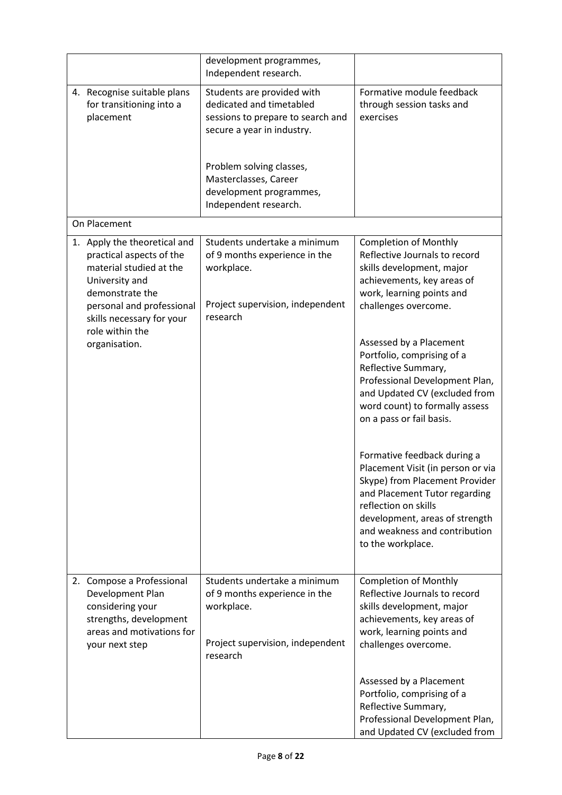|              |                                                                                                                                                                                                       | development programmes,<br>Independent research.                                                                                                                                                                                   |                                                                                                                                                                                                                                                     |  |
|--------------|-------------------------------------------------------------------------------------------------------------------------------------------------------------------------------------------------------|------------------------------------------------------------------------------------------------------------------------------------------------------------------------------------------------------------------------------------|-----------------------------------------------------------------------------------------------------------------------------------------------------------------------------------------------------------------------------------------------------|--|
|              | 4. Recognise suitable plans<br>for transitioning into a<br>placement                                                                                                                                  | Students are provided with<br>dedicated and timetabled<br>sessions to prepare to search and<br>secure a year in industry.<br>Problem solving classes,<br>Masterclasses, Career<br>development programmes,<br>Independent research. | Formative module feedback<br>through session tasks and<br>exercises                                                                                                                                                                                 |  |
| On Placement |                                                                                                                                                                                                       |                                                                                                                                                                                                                                    |                                                                                                                                                                                                                                                     |  |
|              | 1. Apply the theoretical and<br>practical aspects of the<br>material studied at the<br>University and<br>demonstrate the<br>personal and professional<br>skills necessary for your<br>role within the | Students undertake a minimum<br>of 9 months experience in the<br>workplace.<br>Project supervision, independent<br>research                                                                                                        | <b>Completion of Monthly</b><br>Reflective Journals to record<br>skills development, major<br>achievements, key areas of<br>work, learning points and<br>challenges overcome.                                                                       |  |
|              | organisation.                                                                                                                                                                                         |                                                                                                                                                                                                                                    | Assessed by a Placement<br>Portfolio, comprising of a<br>Reflective Summary,<br>Professional Development Plan,<br>and Updated CV (excluded from<br>word count) to formally assess<br>on a pass or fail basis.                                       |  |
|              |                                                                                                                                                                                                       |                                                                                                                                                                                                                                    | Formative feedback during a<br>Placement Visit (in person or via<br>Skype) from Placement Provider<br>and Placement Tutor regarding<br>reflection on skills<br>development, areas of strength<br>and weakness and contribution<br>to the workplace. |  |
|              | 2. Compose a Professional<br>Development Plan<br>considering your<br>strengths, development<br>areas and motivations for<br>your next step                                                            | Students undertake a minimum<br>of 9 months experience in the<br>workplace.<br>Project supervision, independent<br>research                                                                                                        | <b>Completion of Monthly</b><br>Reflective Journals to record<br>skills development, major<br>achievements, key areas of<br>work, learning points and<br>challenges overcome.                                                                       |  |
|              |                                                                                                                                                                                                       |                                                                                                                                                                                                                                    | Assessed by a Placement<br>Portfolio, comprising of a<br>Reflective Summary,<br>Professional Development Plan,<br>and Updated CV (excluded from                                                                                                     |  |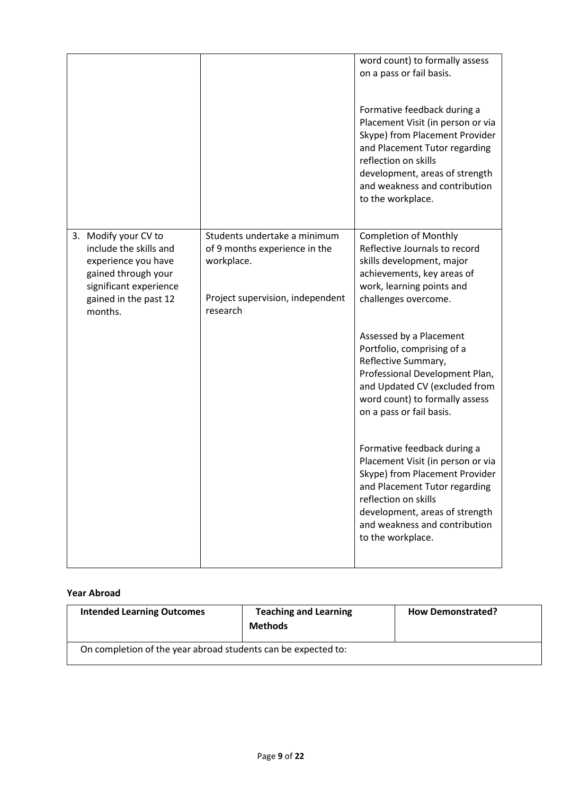|                                                                                                                                                            |                                                                                                                             | word count) to formally assess<br>on a pass or fail basis.<br>Formative feedback during a<br>Placement Visit (in person or via<br>Skype) from Placement Provider<br>and Placement Tutor regarding<br>reflection on skills<br>development, areas of strength<br>and weakness and contribution<br>to the workplace. |
|------------------------------------------------------------------------------------------------------------------------------------------------------------|-----------------------------------------------------------------------------------------------------------------------------|-------------------------------------------------------------------------------------------------------------------------------------------------------------------------------------------------------------------------------------------------------------------------------------------------------------------|
| 3. Modify your CV to<br>include the skills and<br>experience you have<br>gained through your<br>significant experience<br>gained in the past 12<br>months. | Students undertake a minimum<br>of 9 months experience in the<br>workplace.<br>Project supervision, independent<br>research | <b>Completion of Monthly</b><br>Reflective Journals to record<br>skills development, major<br>achievements, key areas of<br>work, learning points and<br>challenges overcome.                                                                                                                                     |
|                                                                                                                                                            |                                                                                                                             | Assessed by a Placement<br>Portfolio, comprising of a<br>Reflective Summary,<br>Professional Development Plan,<br>and Updated CV (excluded from<br>word count) to formally assess<br>on a pass or fail basis.                                                                                                     |
|                                                                                                                                                            |                                                                                                                             | Formative feedback during a<br>Placement Visit (in person or via<br>Skype) from Placement Provider<br>and Placement Tutor regarding<br>reflection on skills<br>development, areas of strength<br>and weakness and contribution<br>to the workplace.                                                               |

#### **Year Abroad**

| <b>Intended Learning Outcomes</b>                             | <b>Teaching and Learning</b><br><b>Methods</b> | <b>How Demonstrated?</b> |
|---------------------------------------------------------------|------------------------------------------------|--------------------------|
| On completion of the year abroad students can be expected to: |                                                |                          |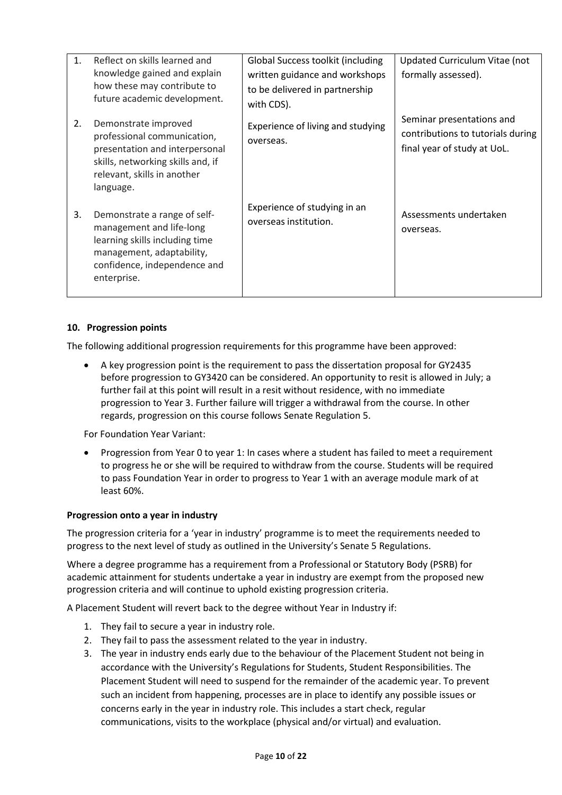| $1_{\cdot}$ | Reflect on skills learned and<br>knowledge gained and explain<br>how these may contribute to<br>future academic development.                                           | Global Success toolkit (including<br>written guidance and workshops<br>to be delivered in partnership<br>with CDS). | Updated Curriculum Vitae (not<br>formally assessed).                                          |
|-------------|------------------------------------------------------------------------------------------------------------------------------------------------------------------------|---------------------------------------------------------------------------------------------------------------------|-----------------------------------------------------------------------------------------------|
| 2.          | Demonstrate improved<br>professional communication,<br>presentation and interpersonal<br>skills, networking skills and, if<br>relevant, skills in another<br>language. | Experience of living and studying<br>overseas.                                                                      | Seminar presentations and<br>contributions to tutorials during<br>final year of study at UoL. |
| 3.          | Demonstrate a range of self-<br>management and life-long<br>learning skills including time<br>management, adaptability,<br>confidence, independence and<br>enterprise. | Experience of studying in an<br>overseas institution.                                                               | Assessments undertaken<br>overseas.                                                           |

### **10. Progression points**

The following additional progression requirements for this programme have been approved:

• A key progression point is the requirement to pass the dissertation proposal for GY2435 before progression to GY3420 can be considered. An opportunity to resit is allowed in July; a further fail at this point will result in a resit without residence, with no immediate progression to Year 3. Further failure will trigger a withdrawal from the course. In other regards, progression on this course follows Senate Regulation 5.

For Foundation Year Variant:

• Progression from Year 0 to year 1: In cases where a student has failed to meet a requirement to progress he or she will be required to withdraw from the course. Students will be required to pass Foundation Year in order to progress to Year 1 with an average module mark of at least 60%.

#### **Progression onto a year in industry**

The progression criteria for a 'year in industry' programme is to meet the requirements needed to progress to the next level of study as outlined in the University's Senate 5 Regulations.

Where a degree programme has a requirement from a Professional or Statutory Body (PSRB) for academic attainment for students undertake a year in industry are exempt from the proposed new progression criteria and will continue to uphold existing progression criteria.

A Placement Student will revert back to the degree without Year in Industry if:

- 1. They fail to secure a year in industry role.
- 2. They fail to pass the assessment related to the year in industry.
- 3. The year in industry ends early due to the behaviour of the Placement Student not being in accordance with the University's Regulations for Students, Student Responsibilities. The Placement Student will need to suspend for the remainder of the academic year. To prevent such an incident from happening, processes are in place to identify any possible issues or concerns early in the year in industry role. This includes a start check, regular communications, visits to the workplace (physical and/or virtual) and evaluation.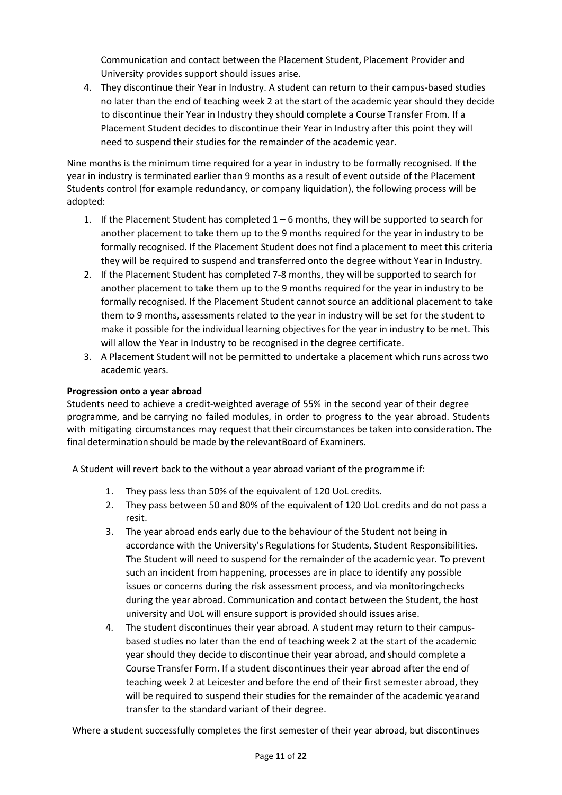Communication and contact between the Placement Student, Placement Provider and University provides support should issues arise.

4. They discontinue their Year in Industry. A student can return to their campus-based studies no later than the end of teaching week 2 at the start of the academic year should they decide to discontinue their Year in Industry they should complete a Course Transfer From. If a Placement Student decides to discontinue their Year in Industry after this point they will need to suspend their studies for the remainder of the academic year.

Nine months is the minimum time required for a year in industry to be formally recognised. If the year in industry is terminated earlier than 9 months as a result of event outside of the Placement Students control (for example redundancy, or company liquidation), the following process will be adopted:

- 1. If the Placement Student has completed  $1-6$  months, they will be supported to search for another placement to take them up to the 9 months required for the year in industry to be formally recognised. If the Placement Student does not find a placement to meet this criteria they will be required to suspend and transferred onto the degree without Year in Industry.
- 2. If the Placement Student has completed 7-8 months, they will be supported to search for another placement to take them up to the 9 months required for the year in industry to be formally recognised. If the Placement Student cannot source an additional placement to take them to 9 months, assessments related to the year in industry will be set for the student to make it possible for the individual learning objectives for the year in industry to be met. This will allow the Year in Industry to be recognised in the degree certificate.
- 3. A Placement Student will not be permitted to undertake a placement which runs across two academic years.

### **Progression onto a year abroad**

Students need to achieve a credit-weighted average of 55% in the second year of their degree programme, and be carrying no failed modules, in order to progress to the year abroad. Students with mitigating circumstances may request that their circumstances be taken into consideration. The final determination should be made by the relevantBoard of Examiners.

A Student will revert back to the without a year abroad variant of the programme if:

- 1. They pass less than 50% of the equivalent of 120 UoL credits.
- 2. They pass between 50 and 80% of the equivalent of 120 UoL credits and do not pass a resit.
- 3. The year abroad ends early due to the behaviour of the Student not being in accordance with the University's Regulations for Students, Student Responsibilities. The Student will need to suspend for the remainder of the academic year. To prevent such an incident from happening, processes are in place to identify any possible issues or concerns during the risk assessment process, and via monitoringchecks during the year abroad. Communication and contact between the Student, the host university and UoL will ensure support is provided should issues arise.
- 4. The student discontinues their year abroad. A student may return to their campusbased studies no later than the end of teaching week 2 at the start of the academic year should they decide to discontinue their year abroad, and should complete a Course Transfer Form. If a student discontinues their year abroad after the end of teaching week 2 at Leicester and before the end of their first semester abroad, they will be required to suspend their studies for the remainder of the academic yearand transfer to the standard variant of their degree.

Where a student successfully completes the first semester of their year abroad, but discontinues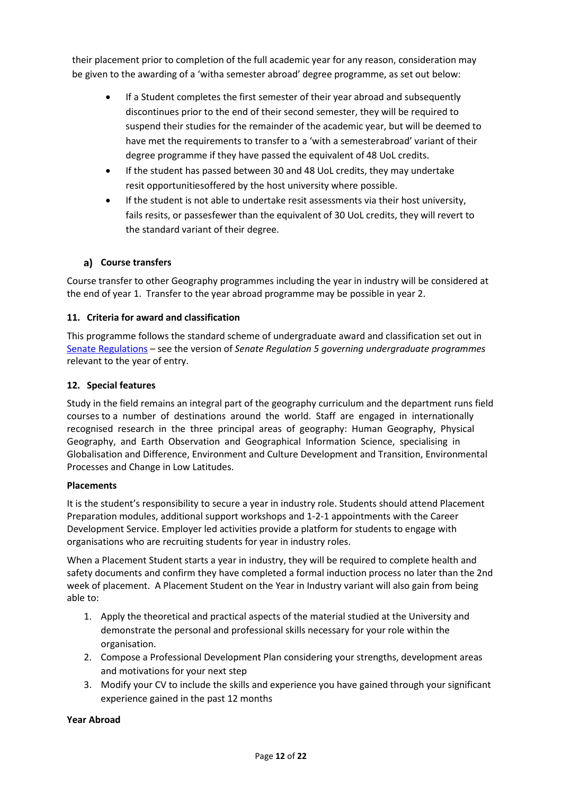their placement prior to completion of the full academic year for any reason, consideration may be given to the awarding of a 'witha semester abroad' degree programme, as set out below:

- If a Student completes the first semester of their year abroad and subsequently discontinues prior to the end of their second semester, they will be required to suspend their studies for the remainder of the academic year, but will be deemed to have met the requirements to transfer to a 'with a semesterabroad' variant of their degree programme if they have passed the equivalent of 48 UoL credits.
- If the student has passed between 30 and 48 UoL credits, they may undertake resit opportunitiesoffered by the host university where possible.
- If the student is not able to undertake resit assessments via their host university, fails resits, or passesfewer than the equivalent of 30 UoL credits, they will revert to the standard variant of their degree.

### **Course transfers**

Course transfer to other Geography programmes including the year in industry will be considered at the end of year 1. Transfer to the year abroad programme may be possible in year 2.

#### **11. Criteria for award and classification**

This programme follows the standard scheme of undergraduate award and classification set out in [Senate Regulations](http://www.le.ac.uk/senate-regulations) – see the version of *Senate Regulation 5 governing undergraduate programmes* relevant to the year of entry.

#### **12. Special features**

Study in the field remains an integral part of the geography curriculum and the department runs field courses to a number of destinations around the world. Staff are engaged in internationally recognised research in the three principal areas of geography: Human Geography, Physical Geography, and Earth Observation and Geographical Information Science, specialising in Globalisation and Difference, Environment and Culture Development and Transition, Environmental Processes and Change in Low Latitudes.

#### **Placements**

It is the student's responsibility to secure a year in industry role. Students should attend Placement Preparation modules, additional support workshops and 1-2-1 appointments with the Career Development Service. Employer led activities provide a platform for students to engage with organisations who are recruiting students for year in industry roles.

When a Placement Student starts a year in industry, they will be required to complete health and safety documents and confirm they have completed a formal induction process no later than the 2nd week of placement. A Placement Student on the Year in Industry variant will also gain from being able to:

- 1. Apply the theoretical and practical aspects of the material studied at the University and demonstrate the personal and professional skills necessary for your role within the organisation.
- 2. Compose a Professional Development Plan considering your strengths, development areas and motivations for your next step
- 3. Modify your CV to include the skills and experience you have gained through your significant experience gained in the past 12 months

#### **Year Abroad**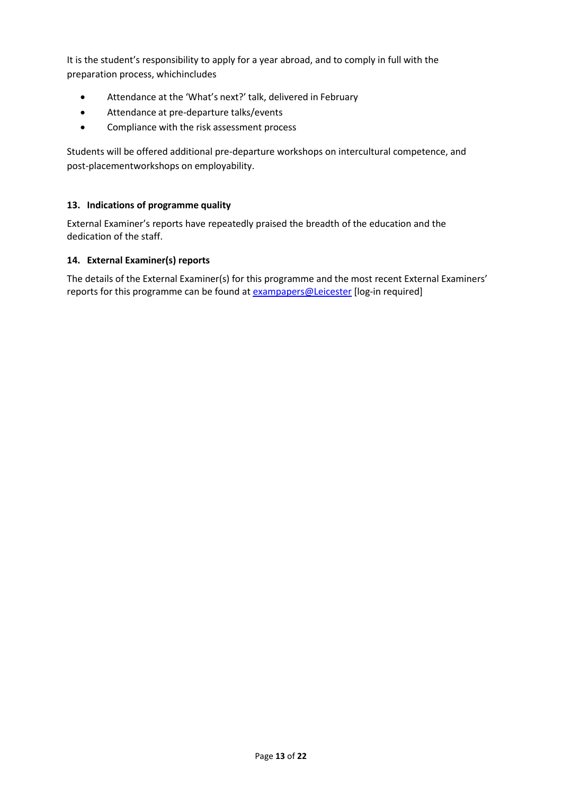It is the student's responsibility to apply for a year abroad, and to comply in full with the preparation process, whichincludes

- Attendance at the 'What's next?' talk, delivered in February
- Attendance at pre-departure talks/events
- Compliance with the risk assessment process

Students will be offered additional pre-departure workshops on intercultural competence, and post-placementworkshops on employability.

#### **13. Indications of programme quality**

External Examiner's reports have repeatedly praised the breadth of the education and the dedication of the staff.

#### **14. External Examiner(s) reports**

The details of the External Examiner(s) for this programme and the most recent External Examiners' reports for this programme can be found at **[exampapers@Leicester](https://exampapers.le.ac.uk/)** [log-in required]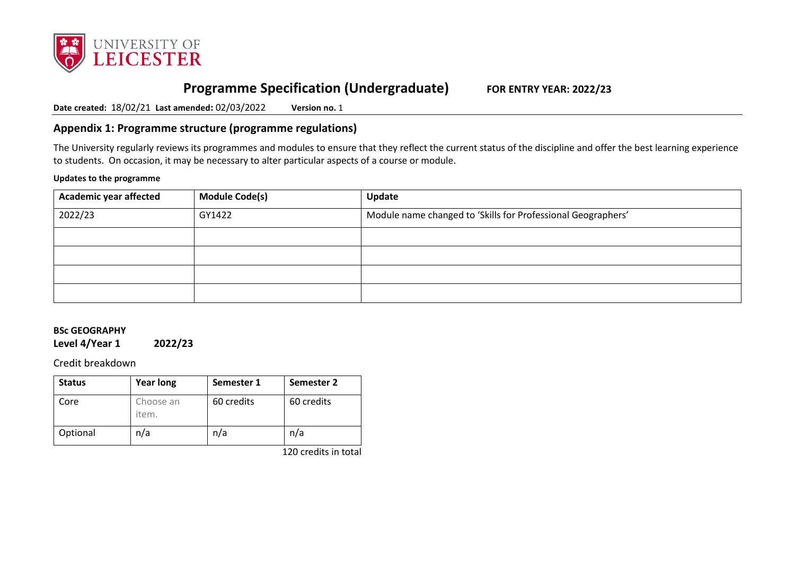

# **Programme Specification (Undergraduate) FOR ENTRY YEAR: 2022/23**

**Date created:** 18/02/21 **Last amended:** 02/03/2022 **Version no.** 1

# **Appendix 1: Programme structure (programme regulations)**

The University regularly reviews its programmes and modules to ensure that they reflect the current status of the discipline and offer the best learning experience to students. On occasion, it may be necessary to alter particular aspects of a course or module.

#### **Updates to the programme**

| <b>Academic year affected</b> | <b>Module Code(s)</b> | Update                                                       |
|-------------------------------|-----------------------|--------------------------------------------------------------|
| 2022/23                       | GY1422                | Module name changed to 'Skills for Professional Geographers' |
|                               |                       |                                                              |
|                               |                       |                                                              |
|                               |                       |                                                              |
|                               |                       |                                                              |

### **BSc GEOGRAPHY**

**Level 4/Year 1 2022/23**

Credit breakdown

| <b>Status</b> | <b>Year long</b>   | Semester 1 | Semester 2 |
|---------------|--------------------|------------|------------|
| Core          | Choose an<br>item. | 60 credits | 60 credits |
| Optional      | n/a                | n/a        | n/a        |

120 credits in total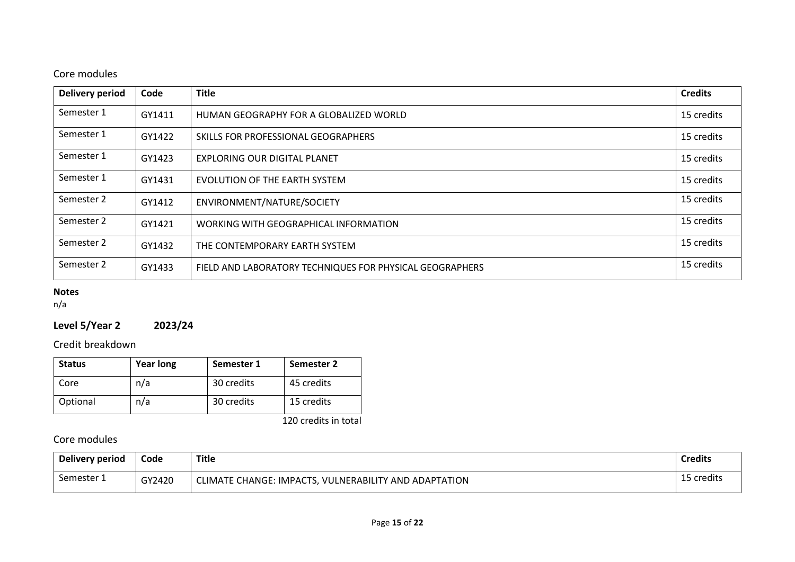# Core modules

| Delivery period | Code   | <b>Title</b>                                             | <b>Credits</b> |
|-----------------|--------|----------------------------------------------------------|----------------|
| Semester 1      | GY1411 | HUMAN GEOGRAPHY FOR A GLOBALIZED WORLD                   | 15 credits     |
| Semester 1      | GY1422 | SKILLS FOR PROFESSIONAL GEOGRAPHERS                      | 15 credits     |
| Semester 1      | GY1423 | EXPLORING OUR DIGITAL PLANET                             | 15 credits     |
| Semester 1      | GY1431 | EVOLUTION OF THE EARTH SYSTEM                            | 15 credits     |
| Semester 2      | GY1412 | ENVIRONMENT/NATURE/SOCIETY                               | 15 credits     |
| Semester 2      | GY1421 | WORKING WITH GEOGRAPHICAL INFORMATION                    | 15 credits     |
| Semester 2      | GY1432 | THE CONTEMPORARY EARTH SYSTEM                            | 15 credits     |
| Semester 2      | GY1433 | FIELD AND LABORATORY TECHNIQUES FOR PHYSICAL GEOGRAPHERS | 15 credits     |

# **Notes**

n/a

# **Level 5/Year 2 2023/24**

Credit breakdown

| <b>Status</b> | <b>Year long</b> | Semester 1 | Semester 2 |
|---------------|------------------|------------|------------|
| Core          | n/a              | 30 credits | 45 credits |
| Optional      | n/a              | 30 credits | 15 credits |

120 credits in total

# Core modules

| Delivery period | Code   | <b>Title</b>                                          | <b>Credits</b> |
|-----------------|--------|-------------------------------------------------------|----------------|
| Semester 1      | GY2420 | CLIMATE CHANGE: IMPACTS, VULNERABILITY AND ADAPTATION | 15 credits     |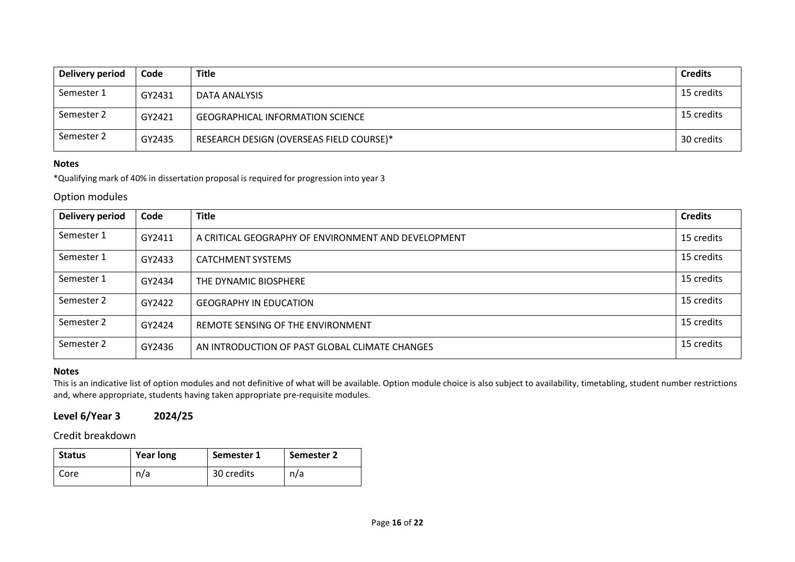| Delivery period | Code   | <b>Title</b>                             | <b>Credits</b> |
|-----------------|--------|------------------------------------------|----------------|
| Semester 1      | GY2431 | DATA ANALYSIS                            | 15 credits     |
| Semester 2      | GY2421 | <b>GEOGRAPHICAL INFORMATION SCIENCE</b>  | 15 credits     |
| Semester 2      | GY2435 | RESEARCH DESIGN (OVERSEAS FIELD COURSE)* | 30 credits     |

#### **Notes**

\*Qualifying mark of 40% in dissertation proposal is required for progression into year 3

#### Option modules

| <b>Delivery period</b> | Code   | <b>Title</b>                                        | <b>Credits</b> |
|------------------------|--------|-----------------------------------------------------|----------------|
| Semester 1             | GY2411 | A CRITICAL GEOGRAPHY OF ENVIRONMENT AND DEVELOPMENT | 15 credits     |
| Semester 1             | GY2433 | <b>CATCHMENT SYSTEMS</b>                            | 15 credits     |
| Semester 1             | GY2434 | THE DYNAMIC BIOSPHERE                               | 15 credits     |
| Semester 2             | GY2422 | <b>GEOGRAPHY IN EDUCATION</b>                       | 15 credits     |
| Semester 2             | GY2424 | REMOTE SENSING OF THE ENVIRONMENT                   | 15 credits     |
| Semester 2             | GY2436 | AN INTRODUCTION OF PAST GLOBAL CLIMATE CHANGES      | 15 credits     |

#### **Notes**

This is an indicative list of option modules and not definitive of what will be available. Option module choice is also subject to availability, timetabling, student number restrictions and, where appropriate, students having taken appropriate pre-requisite modules.

# **Level 6/Year 3 2024/25**

### Credit breakdown

| <b>Status</b> | <b>Year long</b> | Semester 1 | Semester 2 |
|---------------|------------------|------------|------------|
| Core          | n/a              | 30 credits | n/a        |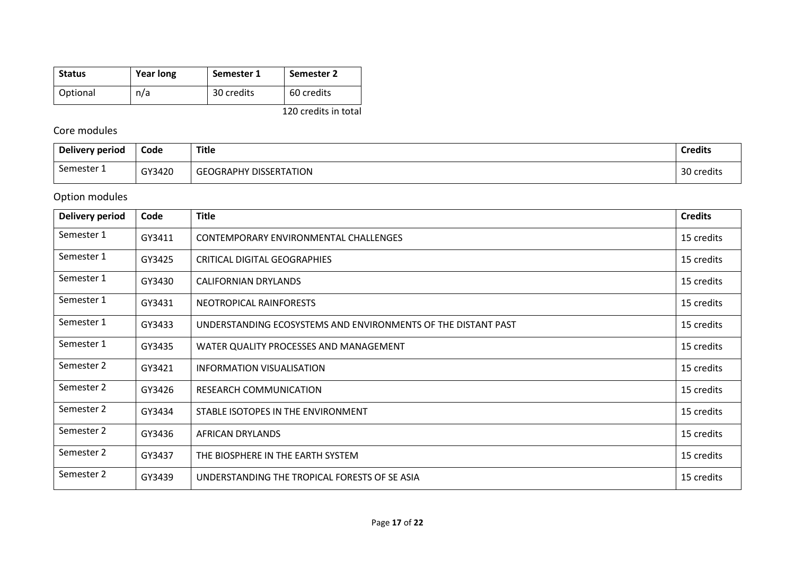| <b>Status</b> | <b>Year long</b> | Semester 1 | Semester 2           |
|---------------|------------------|------------|----------------------|
| Optional      | n/a              | 30 credits | 60 credits           |
|               |                  |            | 120 credits in total |

# Core modules

| Delivery period | Code   | <b>Title</b>                  | <b>Credits</b>   |
|-----------------|--------|-------------------------------|------------------|
| Semester 1      | GY3420 | <b>GEOGRAPHY DISSERTATION</b> | 20<br>30 credits |

# Option modules

| Delivery period | Code   | <b>Title</b>                                                  | <b>Credits</b> |
|-----------------|--------|---------------------------------------------------------------|----------------|
| Semester 1      | GY3411 | CONTEMPORARY ENVIRONMENTAL CHALLENGES                         | 15 credits     |
| Semester 1      | GY3425 | CRITICAL DIGITAL GEOGRAPHIES                                  | 15 credits     |
| Semester 1      | GY3430 | <b>CALIFORNIAN DRYLANDS</b>                                   | 15 credits     |
| Semester 1      | GY3431 | NEOTROPICAL RAINFORESTS                                       | 15 credits     |
| Semester 1      | GY3433 | UNDERSTANDING ECOSYSTEMS AND ENVIRONMENTS OF THE DISTANT PAST | 15 credits     |
| Semester 1      | GY3435 | WATER QUALITY PROCESSES AND MANAGEMENT                        | 15 credits     |
| Semester 2      | GY3421 | INFORMATION VISUALISATION                                     | 15 credits     |
| Semester 2      | GY3426 | <b>RESEARCH COMMUNICATION</b>                                 | 15 credits     |
| Semester 2      | GY3434 | STABLE ISOTOPES IN THE ENVIRONMENT                            | 15 credits     |
| Semester 2      | GY3436 | <b>AFRICAN DRYLANDS</b>                                       | 15 credits     |
| Semester 2      | GY3437 | THE BIOSPHERE IN THE EARTH SYSTEM                             | 15 credits     |
| Semester 2      | GY3439 | UNDERSTANDING THE TROPICAL FORESTS OF SE ASIA                 | 15 credits     |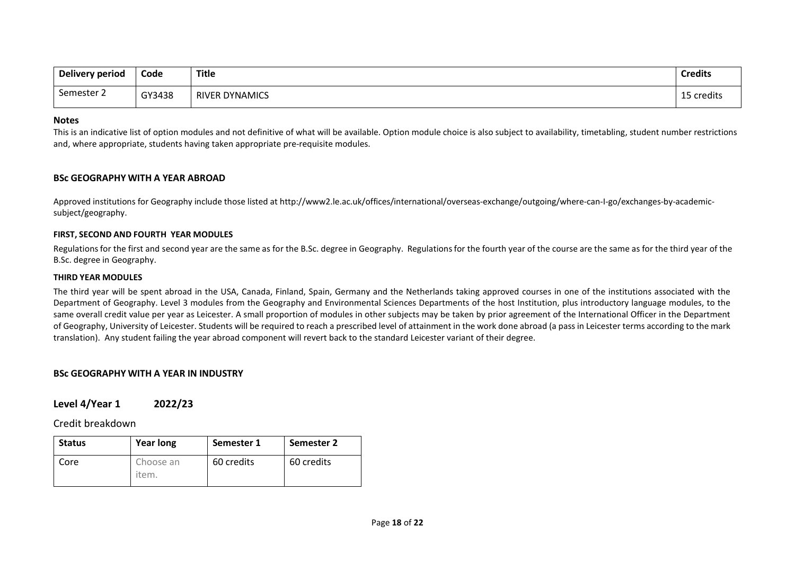| Delivery period      | Code   | <b>Title</b>          | <b>Credits</b> |
|----------------------|--------|-----------------------|----------------|
| $\sim$<br>Semester 2 | GY3438 | <b>RIVER DYNAMICS</b> | 15 credits     |

#### **Notes**

This is an indicative list of option modules and not definitive of what will be available. Option module choice is also subject to availability, timetabling, student number restrictions and, where appropriate, students having taken appropriate pre-requisite modules.

#### **BSc GEOGRAPHY WITH A YEAR ABROAD**

Approved institutions for Geography include those listed at http://www2.le.ac.uk/offices/international/overseas-exchange/outgoing/where-can-I-go/exchanges-by-academicsubject/geography.

#### **FIRST, SECOND AND FOURTH YEAR MODULES**

Regulations for the first and second year are the same as for the B.Sc. degree in Geography. Regulations for the fourth year of the course are the same as for the third year of the B.Sc. degree in Geography.

#### **THIRD YEAR MODULES**

The third year will be spent abroad in the USA, Canada, Finland, Spain, Germany and the Netherlands taking approved courses in one of the institutions associated with the Department of Geography. Level 3 modules from the Geography and Environmental Sciences Departments of the host Institution, plus introductory language modules, to the same overall credit value per year as Leicester. A small proportion of modules in other subjects may be taken by prior agreement of the International Officer in the Department of Geography, University of Leicester. Students will be required to reach a prescribed level of attainment in the work done abroad (a pass in Leicester terms according to the mark translation). Any student failing the year abroad component will revert back to the standard Leicester variant of their degree.

#### **BSc GEOGRAPHY WITH A YEAR IN INDUSTRY**

**Level 4/Year 1 2022/23**

Credit breakdown

| <b>Status</b> | <b>Year long</b>   | Semester 1 | <b>Semester 2</b> |
|---------------|--------------------|------------|-------------------|
| Core          | Choose an<br>item. | 60 credits | 60 credits        |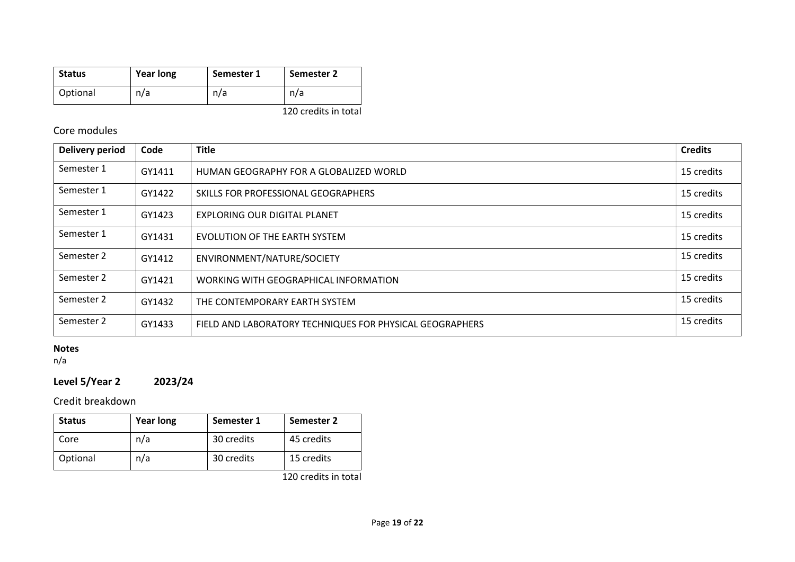| <b>Status</b> | <b>Year long</b> | Semester 1 | Semester 2 |
|---------------|------------------|------------|------------|
| Optional      | n/a              | n/a        | n/a        |

120 credits in total

# Core modules

| <b>Delivery period</b> | Code   | <b>Title</b>                                             | <b>Credits</b> |
|------------------------|--------|----------------------------------------------------------|----------------|
| Semester 1             | GY1411 | HUMAN GEOGRAPHY FOR A GLOBALIZED WORLD                   | 15 credits     |
| Semester 1             | GY1422 | SKILLS FOR PROFESSIONAL GEOGRAPHERS                      | 15 credits     |
| Semester 1             | GY1423 | <b>EXPLORING OUR DIGITAL PLANET</b>                      | 15 credits     |
| Semester 1             | GY1431 | EVOLUTION OF THE EARTH SYSTEM                            | 15 credits     |
| Semester 2             | GY1412 | ENVIRONMENT/NATURE/SOCIETY                               | 15 credits     |
| Semester 2             | GY1421 | WORKING WITH GEOGRAPHICAL INFORMATION                    | 15 credits     |
| Semester 2             | GY1432 | THE CONTEMPORARY EARTH SYSTEM                            | 15 credits     |
| Semester 2             | GY1433 | FIELD AND LABORATORY TECHNIQUES FOR PHYSICAL GEOGRAPHERS | 15 credits     |

# **Notes**

n/a

# **Level 5/Year 2 2023/24**

# Credit breakdown

| <b>Status</b> | <b>Year long</b> | Semester 1 | Semester 2 |
|---------------|------------------|------------|------------|
| Core          | n/a              | 30 credits | 45 credits |
| Optional      | n/a              | 30 credits | 15 credits |

120 credits in total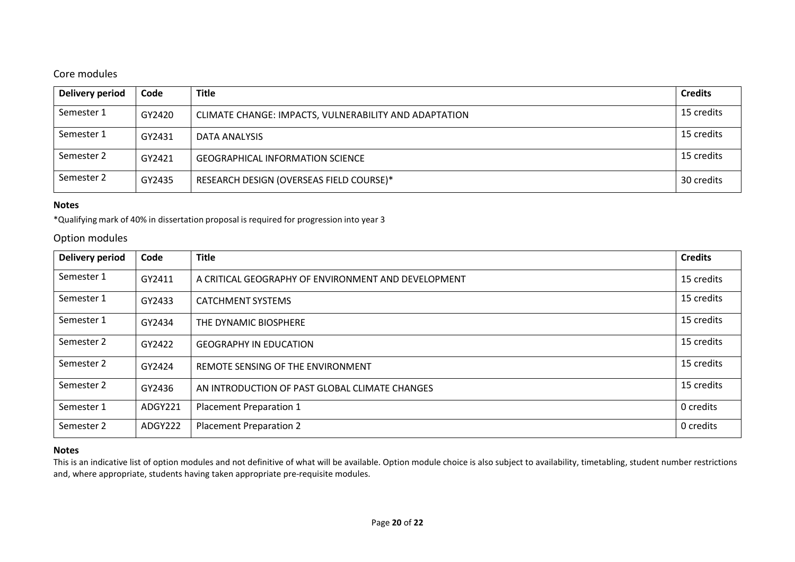# Core modules

| <b>Delivery period</b> | Code   | <b>Title</b>                                          | <b>Credits</b> |
|------------------------|--------|-------------------------------------------------------|----------------|
| Semester 1             | GY2420 | CLIMATE CHANGE: IMPACTS, VULNERABILITY AND ADAPTATION | 15 credits     |
| Semester 1             | GY2431 | DATA ANALYSIS                                         | 15 credits     |
| Semester 2             | GY2421 | <b>GEOGRAPHICAL INFORMATION SCIENCE</b>               | 15 credits     |
| Semester 2             | GY2435 | RESEARCH DESIGN (OVERSEAS FIELD COURSE)*              | 30 credits     |

#### **Notes**

\*Qualifying mark of 40% in dissertation proposal is required for progression into year 3

#### Option modules

| Delivery period | Code    | <b>Title</b>                                        | <b>Credits</b> |
|-----------------|---------|-----------------------------------------------------|----------------|
| Semester 1      | GY2411  | A CRITICAL GEOGRAPHY OF ENVIRONMENT AND DEVELOPMENT | 15 credits     |
| Semester 1      | GY2433  | <b>CATCHMENT SYSTEMS</b>                            | 15 credits     |
| Semester 1      | GY2434  | THE DYNAMIC BIOSPHERE                               | 15 credits     |
| Semester 2      | GY2422  | <b>GEOGRAPHY IN EDUCATION</b>                       | 15 credits     |
| Semester 2      | GY2424  | REMOTE SENSING OF THE ENVIRONMENT                   | 15 credits     |
| Semester 2      | GY2436  | AN INTRODUCTION OF PAST GLOBAL CLIMATE CHANGES      | 15 credits     |
| Semester 1      | ADGY221 | Placement Preparation 1                             | 0 credits      |
| Semester 2      | ADGY222 | <b>Placement Preparation 2</b>                      | 0 credits      |

#### **Notes**

This is an indicative list of option modules and not definitive of what will be available. Option module choice is also subject to availability, timetabling, student number restrictions and, where appropriate, students having taken appropriate pre-requisite modules.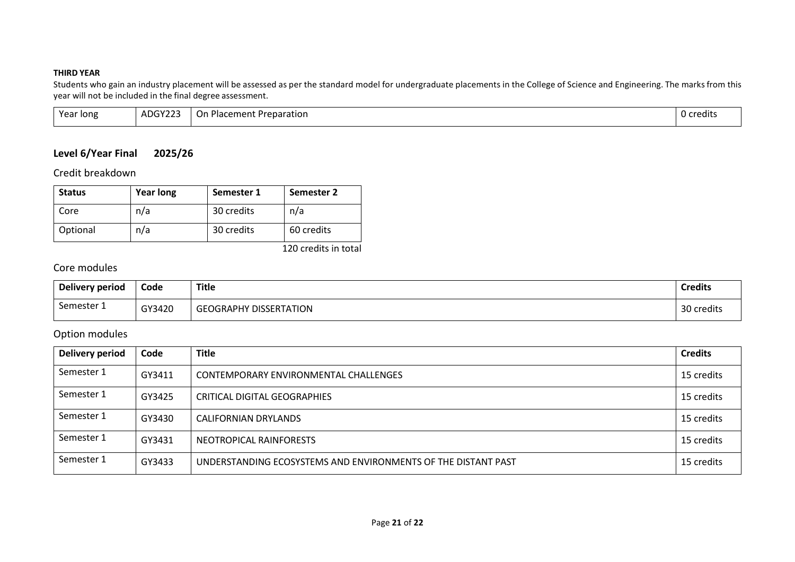#### **THIRD YEAR**

Students who gain an industry placement will be assessed as per the standard model for undergraduate placements in the College of Science and Engineering. The marks from this year will not be included in the final degree assessment.

| Year long | ADGY223 | Placement i<br>Preparation<br>On | .<br>0 credits |
|-----------|---------|----------------------------------|----------------|
|-----------|---------|----------------------------------|----------------|

# **Level 6/Year Final 2025/26**

Credit breakdown

| <b>Status</b> | <b>Year long</b> | Semester 1 | Semester 2 |
|---------------|------------------|------------|------------|
| Core          | n/a              | 30 credits | n/a        |
| Optional      | n/a              | 30 credits | 60 credits |

120 credits in total

# Core modules

| <b>Delivery period</b> | Code   | <b>Title</b>                  | <b>Credits</b>        |
|------------------------|--------|-------------------------------|-----------------------|
| Semester 1             | GY3420 | <b>GEOGRAPHY DISSERTATION</b> | - 3∩<br>credits<br>Ju |

# Option modules

| <b>Delivery period</b> | Code   | <b>Title</b>                                                  | <b>Credits</b> |
|------------------------|--------|---------------------------------------------------------------|----------------|
| Semester 1             | GY3411 | CONTEMPORARY ENVIRONMENTAL CHALLENGES                         | 15 credits     |
| Semester 1             | GY3425 | CRITICAL DIGITAL GEOGRAPHIES                                  | 15 credits     |
| Semester 1             | GY3430 | CALIFORNIAN DRYLANDS                                          | 15 credits     |
| Semester 1             | GY3431 | NEOTROPICAL RAINFORESTS                                       | 15 credits     |
| Semester 1             | GY3433 | UNDERSTANDING ECOSYSTEMS AND ENVIRONMENTS OF THE DISTANT PAST | 15 credits     |